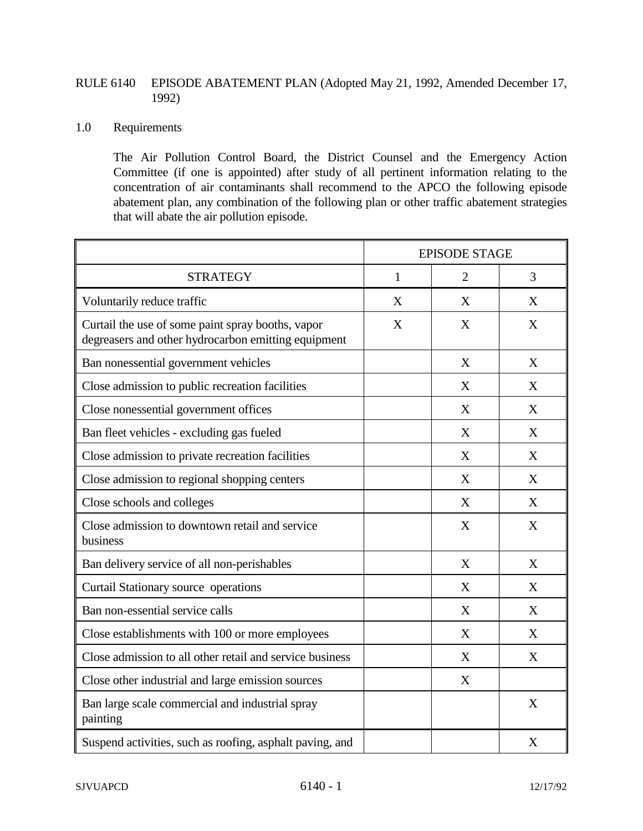## RULE 6140 EPISODE ABATEMENT PLAN (Adopted May 21, 1992, Amended December 17, 1992)

## 1.0 Requirements

The Air Pollution Control Board, the District Counsel and the Emergency Action Committee (if one is appointed) after study of all pertinent information relating to the concentration of air contaminants shall recommend to the APCO the following episode abatement plan, any combination of the following plan or other traffic abatement strategies that will abate the air pollution episode.

|                                                                                                          | <b>EPISODE STAGE</b> |                |   |
|----------------------------------------------------------------------------------------------------------|----------------------|----------------|---|
| <b>STRATEGY</b>                                                                                          | $\mathbf{1}$         | $\overline{2}$ | 3 |
| Voluntarily reduce traffic                                                                               | X                    | X              | X |
| Curtail the use of some paint spray booths, vapor<br>degreasers and other hydrocarbon emitting equipment | X                    | X              | X |
| Ban nonessential government vehicles                                                                     |                      | X              | X |
| Close admission to public recreation facilities                                                          |                      | X              | X |
| Close nonessential government offices                                                                    |                      | X              | X |
| Ban fleet vehicles - excluding gas fueled                                                                |                      | X              | X |
| Close admission to private recreation facilities                                                         |                      | X              | X |
| Close admission to regional shopping centers                                                             |                      | X              | X |
| Close schools and colleges                                                                               |                      | X              | X |
| Close admission to downtown retail and service<br>business                                               |                      | X              | X |
| Ban delivery service of all non-perishables                                                              |                      | X              | X |
| Curtail Stationary source operations                                                                     |                      | X              | X |
| Ban non-essential service calls                                                                          |                      | X              | X |
| Close establishments with 100 or more employees                                                          |                      | X              | X |
| Close admission to all other retail and service business                                                 |                      | X              | X |
| Close other industrial and large emission sources                                                        |                      | X              |   |
| Ban large scale commercial and industrial spray<br>painting                                              |                      |                | X |
| Suspend activities, such as roofing, asphalt paving, and                                                 |                      |                | X |